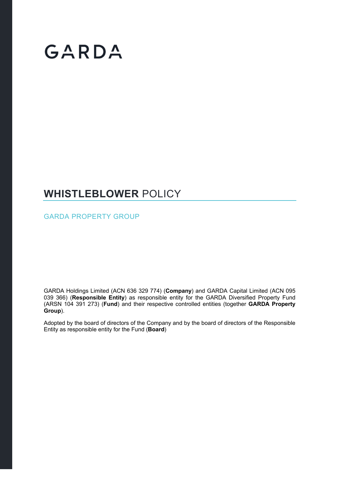# GARDA

### **WHISTLEBLOWER** POLICY

GARDA PROPERTY GROUP

GARDA Holdings Limited (ACN 636 329 774) (**Company**) and GARDA Capital Limited (ACN 095 039 366) (**Responsible Entity**) as responsible entity for the GARDA Diversified Property Fund (ARSN 104 391 273) (**Fund**) and their respective controlled entities (together **GARDA Property Group**).

Adopted by the board of directors of the Company and by the board of directors of the Responsible Entity as responsible entity for the Fund (**Board**)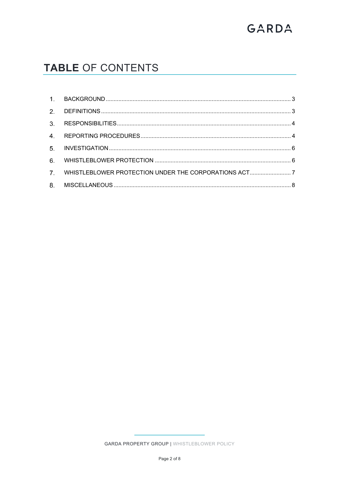## GARDA

### TABLE OF CONTENTS

|    | 7. WHISTLEBLOWER PROTECTION UNDER THE CORPORATIONS ACT7 |  |
|----|---------------------------------------------------------|--|
| 8. |                                                         |  |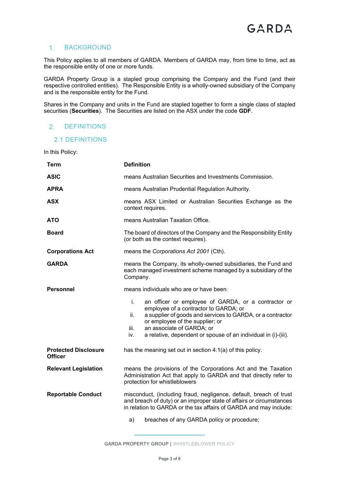#### 1. BACKGROUND

This Policy applies to all members of GARDA. Members of GARDA may, from time to time, act as the responsible entity of one or more funds.

GARDA Property Group is a stapled group comprising the Company and the Fund (and their respective controlled entities). The Responsible Entity is a wholly-owned subsidiary of the Company and is the responsible entity for the Fund.

Shares in the Company and units in the Fund are stapled together to form a single class of stapled securities (**Securities**). The Securities are listed on the ASX under the code **GDF**.

#### 2. DEFINITIONS

#### 2.1 DEFINITIONS

In this Policy:

| <b>Term</b>                                   | <b>Definition</b>                                                                                                                                                                                                                                                                                                        |  |  |
|-----------------------------------------------|--------------------------------------------------------------------------------------------------------------------------------------------------------------------------------------------------------------------------------------------------------------------------------------------------------------------------|--|--|
| <b>ASIC</b>                                   | means Australian Securities and Investments Commission.                                                                                                                                                                                                                                                                  |  |  |
| <b>APRA</b>                                   | means Australian Prudential Regulation Authority.                                                                                                                                                                                                                                                                        |  |  |
| <b>ASX</b>                                    | means ASX Limited or Australian Securities Exchange as the<br>context requires.                                                                                                                                                                                                                                          |  |  |
| <b>ATO</b>                                    | means Australian Taxation Office.                                                                                                                                                                                                                                                                                        |  |  |
| <b>Board</b>                                  | The board of directors of the Company and the Responsibility Entity<br>(or both as the context requires).                                                                                                                                                                                                                |  |  |
| <b>Corporations Act</b>                       | means the Corporations Act 2001 (Cth).                                                                                                                                                                                                                                                                                   |  |  |
| <b>GARDA</b>                                  | means the Company, its wholly-owned subsidiaries, the Fund and<br>each managed investment scheme managed by a subsidiary of the<br>Company.                                                                                                                                                                              |  |  |
| <b>Personnel</b>                              | means individuals who are or have been:                                                                                                                                                                                                                                                                                  |  |  |
|                                               | i.<br>an officer or employee of GARDA, or a contractor or<br>employee of a contractor to GARDA; or<br>a supplier of goods and services to GARDA, or a contractor<br>ii.<br>or employee of the supplier; or<br>an associate of GARDA; or<br>iii.<br>a relative, dependent or spouse of an individual in (i)-(iii).<br>iv. |  |  |
| <b>Protected Disclosure</b><br><b>Officer</b> | has the meaning set out in section 4.1(a) of this policy.                                                                                                                                                                                                                                                                |  |  |
| <b>Relevant Legislation</b>                   | means the provisions of the Corporations Act and the Taxation<br>Administration Act that apply to GARDA and that directly refer to<br>protection for whistleblowers                                                                                                                                                      |  |  |
| <b>Reportable Conduct</b>                     | misconduct, (including fraud, negligence, default, breach of trust<br>and breach of duty) or an improper state of affairs or circumstances<br>in relation to GARDA or the tax affairs of GARDA and may include:                                                                                                          |  |  |
|                                               | breaches of any GARDA policy or procedure;<br>a)                                                                                                                                                                                                                                                                         |  |  |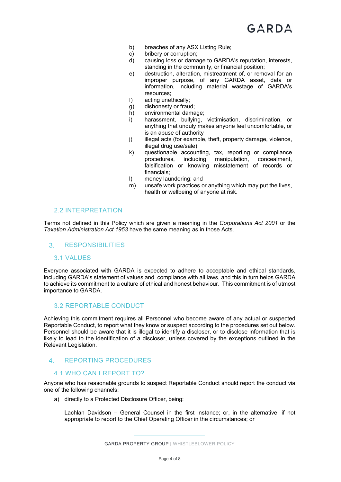- b) breaches of any ASX Listing Rule;
- c) bribery or corruption;
- d) causing loss or damage to GARDA's reputation, interests, standing in the community, or financial position;
- e) destruction, alteration, mistreatment of, or removal for an improper purpose, of any GARDA asset, data or information, including material wastage of GARDA's resources;
- f) acting unethically;
- g) dishonesty or fraud;
- h) environmental damage;
- i) harassment, bullying, victimisation, discrimination, or anything that unduly makes anyone feel uncomfortable, or is an abuse of authority
- j) illegal acts (for example, theft, property damage, violence, illegal drug use/sale);
- k) questionable accounting, tax, reporting or compliance procedures, including manipulation, concealment, falsification or knowing misstatement of records or financials;
- l) money laundering; and
- m) unsafe work practices or anything which may put the lives, health or wellbeing of anyone at risk.

#### 2.2 INTERPRETATION

Terms not defined in this Policy which are given a meaning in the *Corporations Act 2001* or the *Taxation Administration Act 1953* have the same meaning as in those Acts.

#### RESPONSIBILITIES

#### 3.1 VALUES

Everyone associated with GARDA is expected to adhere to acceptable and ethical standards, including GARDA's statement of values and compliance with all laws, and this in turn helps GARDA to achieve its commitment to a culture of ethical and honest behaviour. This commitment is of utmost importance to GARDA.

#### 3.2 REPORTABLE CONDUCT

Achieving this commitment requires all Personnel who become aware of any actual or suspected Reportable Conduct, to report what they know or suspect according to the procedures set out below. Personnel should be aware that it is illegal to identify a discloser, or to disclose information that is likely to lead to the identification of a discloser, unless covered by the exceptions outlined in the Relevant Legislation.

#### 4. REPORTING PROCEDURES

#### 4.1 WHO CAN I REPORT TO?

Anyone who has reasonable grounds to suspect Reportable Conduct should report the conduct via one of the following channels:

a) directly to a Protected Disclosure Officer, being:

Lachlan Davidson – General Counsel in the first instance; or, in the alternative, if not appropriate to report to the Chief Operating Officer in the circumstances; or

GARDA PROPERTY GROUP | WHISTLEBLOWER POLICY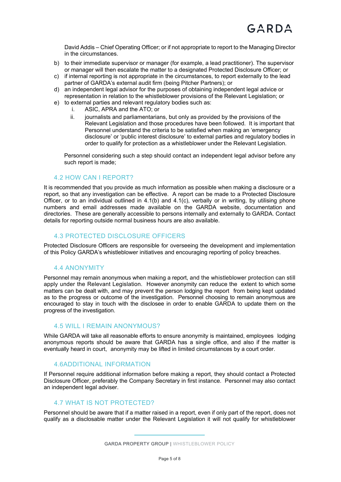David Addis – Chief Operating Officer; or if not appropriate to report to the Managing Director in the circumstances.

- b) to their immediate supervisor or manager (for example, a lead practitioner). The supervisor or manager will then escalate the matter to a designated Protected Disclosure Officer; or
- c) if internal reporting is not appropriate in the circumstances, to report externally to the lead partner of GARDA's external audit firm (being Pitcher Partners); or
- d) an independent legal advisor for the purposes of obtaining independent legal advice or representation in relation to the whistleblower provisions of the Relevant Legislation; or
- e) to external parties and relevant regulatory bodies such as:
	- i. ASIC, APRA and the ATO; or
	- ii. journalists and parliamentarians, but only as provided by the provisions of the Relevant Legislation and those procedures have been followed. It is important that Personnel understand the criteria to be satisfied when making an 'emergency disclosure' or 'public interest disclosure' to external parties and regulatory bodies in order to qualify for protection as a whistleblower under the Relevant Legislation.

Personnel considering such a step should contact an independent legal advisor before any such report is made;

#### 4.2 HOW CAN I REPORT?

It is recommended that you provide as much information as possible when making a disclosure or a report, so that any investigation can be effective. A report can be made to a Protected Disclosure Officer, or to an individual outlined in  $4.1(b)$  and  $4.1(c)$ , verbally or in writing, by utilising phone numbers and email addresses made available on the GARDA website, documentation and directories. These are generally accessible to persons internally and externally to GARDA. Contact details for reporting outside normal business hours are also available.

#### 4.3 PROTECTED DISCLOSURE OFFICERS

Protected Disclosure Officers are responsible for overseeing the development and implementation of this Policy GARDA's whistleblower initiatives and encouraging reporting of policy breaches.

#### 4.4 ANONYMITY

Personnel may remain anonymous when making a report, and the whistleblower protection can still apply under the Relevant Legislation. However anonymity can reduce the extent to which some matters can be dealt with, and may prevent the person lodging the report from being kept updated as to the progress or outcome of the investigation. Personnel choosing to remain anonymous are encouraged to stay in touch with the disclosee in order to enable GARDA to update them on the progress of the investigation.

#### 4.5 WILL I REMAIN ANONYMOUS?

While GARDA will take all reasonable efforts to ensure anonymity is maintained, employees lodging anonymous reports should be aware that GARDA has a single office, and also if the matter is eventually heard in court, anonymity may be lifted in limited circumstances by a court order.

#### 4.6ADDITIONAL INFORMATION

If Personnel require additional information before making a report, they should contact a Protected Disclosure Officer, preferably the Company Secretary in first instance. Personnel may also contact an independent legal adviser.

#### 4.7 WHAT IS NOT PROTECTED?

Personnel should be aware that if a matter raised in a report, even if only part of the report, does not qualify as a disclosable matter under the Relevant Legislation it will not qualify for whistleblower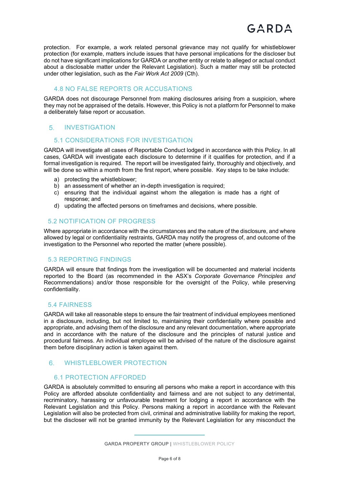protection. For example, a work related personal grievance may not qualify for whistleblower protection (for example, matters include issues that have personal implications for the discloser but do not have significant implications for GARDA or another entity or relate to alleged or actual conduct about a disclosable matter under the Relevant Legislation). Such a matter may still be protected under other legislation, such as the *Fair Work Act 2009* (Cth).

#### 4.8 NO FALSE REPORTS OR ACCUSATIONS

GARDA does not discourage Personnel from making disclosures arising from a suspicion, where they may not be appraised of the details. However, this Policy is not a platform for Personnel to make a deliberately false report or accusation.

#### 5. INVESTIGATION

#### 5.1 CONSIDERATIONS FOR INVESTIGATION

GARDA will investigate all cases of Reportable Conduct lodged in accordance with this Policy. In all cases, GARDA will investigate each disclosure to determine if it qualifies for protection, and if a formal investigation is required. The report will be investigated fairly, thoroughly and objectively, and will be done so within a month from the first report, where possible. Key steps to be take include:

- a) protecting the whistleblower;
- b) an assessment of whether an in-depth investigation is required;
- c) ensuring that the individual against whom the allegation is made has a right of response; and
- d) updating the affected persons on timeframes and decisions, where possible.

#### 5.2 NOTIFICATION OF PROGRESS

Where appropriate in accordance with the circumstances and the nature of the disclosure, and where allowed by legal or confidentiality restraints, GARDA may notify the progress of, and outcome of the investigation to the Personnel who reported the matter (where possible).

#### 5.3 REPORTING FINDINGS

GARDA will ensure that findings from the investigation will be documented and material incidents reported to the Board (as recommended in the ASX's *Corporate Governance Principles and*  Recommendations) and/or those responsible for the oversight of the Policy, while preserving confidentiality.

#### 5.4 FAIRNESS

GARDA will take all reasonable steps to ensure the fair treatment of individual employees mentioned in a disclosure, including, but not limited to, maintaining their confidentiality where possible and appropriate, and advising them of the disclosure and any relevant documentation, where appropriate and in accordance with the nature of the disclosure and the principles of natural justice and procedural fairness. An individual employee will be advised of the nature of the disclosure against them before disciplinary action is taken against them.

#### WHISTLEBLOWER PROTECTION

#### 6.1 PROTECTION AFFORDED

GARDA is absolutely committed to ensuring all persons who make a report in accordance with this Policy are afforded absolute confidentiality and fairness and are not subject to any detrimental, recriminatory, harassing or unfavourable treatment for lodging a report in accordance with the Relevant Legislation and this Policy. Persons making a report in accordance with the Relevant Legislation will also be protected from civil, criminal and administrative liability for making the report, but the discloser will not be granted immunity by the Relevant Legislation for any misconduct the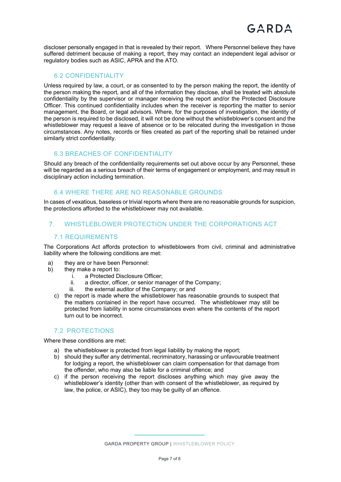discloser personally engaged in that is revealed by their report. Where Personnel believe they have suffered detriment because of making a report, they may contact an independent legal advisor or regulatory bodies such as ASIC, APRA and the ATO.

#### 6.2 CONFIDENTIALITY

Unless required by law, a court, or as consented to by the person making the report, the identity of the person making the report, and all of the information they disclose, shall be treated with absolute confidentiality by the supervisor or manager receiving the report and/or the Protected Disclosure Officer. This continued confidentiality includes when the receiver is reporting the matter to senior management, the Board, or legal advisors. Where, for the purposes of investigation, the identity of the person is required to be disclosed, it will not be done without the whistleblower's consent and the whistleblower may request a leave of absence or to be relocated during the investigation in those circumstances. Any notes, records or files created as part of the reporting shall be retained under similarly strict confidentiality.

#### 6.3 BREACHES OF CONFIDENTIALITY

Should any breach of the confidentiality requirements set out above occur by any Personnel, these will be regarded as a serious breach of their terms of engagement or employment, and may result in disciplinary action including termination.

#### 6.4 WHERE THERE ARE NO REASONABLE GROUNDS

In cases of vexatious, baseless or trivial reports where there are no reasonable grounds for suspicion, the protections afforded to the whistleblower may not available.

#### WHISTLEBLOWER PROTECTION UNDER THE CORPORATIONS ACT

#### 7.1 REQUIREMENTS

The Corporations Act affords protection to whistleblowers from civil, criminal and administrative liability where the following conditions are met:

- a) they are or have been Personnel:
- b) they make a report to:
	- i. a Protected Disclosure Officer;
	- ii. a director, officer, or senior manager of the Company;
	- iii. the external auditor of the Company; or and
	- c) the report is made where the whistleblower has reasonable grounds to suspect that the matters contained in the report have occurred. The whistleblower may still be protected from liability in some circumstances even where the contents of the report turn out to be incorrect.

#### 7.2 PROTECTIONS

Where these conditions are met:

- a) the whistleblower is protected from legal liability by making the report;
- b) should they suffer any detrimental, recriminatory, harassing or unfavourable treatment for lodging a report, the whistleblower can claim compensation for that damage from the offender, who may also be liable for a criminal offence; and
- c) if the person receiving the report discloses anything which may give away the whistleblower's identity (other than with consent of the whistleblower, as required by law, the police, or ASIC), they too may be guilty of an offence.

GARDA PROPERTY GROUP | WHISTLEBLOWER POLICY